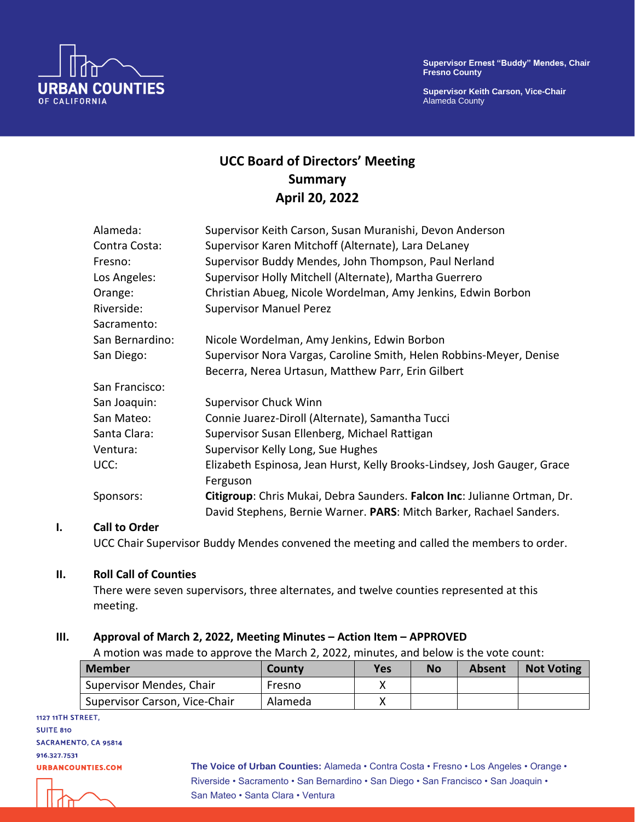

**Supervisor Keith Carson, Vice-Chair** Alameda County



# **UCC Board of Directors' Meeting Summary April 20, 2022**

| Alameda:        | Supervisor Keith Carson, Susan Muranishi, Devon Anderson                 |
|-----------------|--------------------------------------------------------------------------|
| Contra Costa:   | Supervisor Karen Mitchoff (Alternate), Lara DeLaney                      |
| Fresno:         | Supervisor Buddy Mendes, John Thompson, Paul Nerland                     |
| Los Angeles:    | Supervisor Holly Mitchell (Alternate), Martha Guerrero                   |
| Orange:         | Christian Abueg, Nicole Wordelman, Amy Jenkins, Edwin Borbon             |
| Riverside:      | <b>Supervisor Manuel Perez</b>                                           |
| Sacramento:     |                                                                          |
| San Bernardino: | Nicole Wordelman, Amy Jenkins, Edwin Borbon                              |
| San Diego:      | Supervisor Nora Vargas, Caroline Smith, Helen Robbins-Meyer, Denise      |
|                 | Becerra, Nerea Urtasun, Matthew Parr, Erin Gilbert                       |
| San Francisco:  |                                                                          |
| San Joaquin:    | <b>Supervisor Chuck Winn</b>                                             |
| San Mateo:      | Connie Juarez-Diroll (Alternate), Samantha Tucci                         |
| Santa Clara:    | Supervisor Susan Ellenberg, Michael Rattigan                             |
| Ventura:        | Supervisor Kelly Long, Sue Hughes                                        |
| UCC:            | Elizabeth Espinosa, Jean Hurst, Kelly Brooks-Lindsey, Josh Gauger, Grace |
|                 | Ferguson                                                                 |
| Sponsors:       | Citigroup: Chris Mukai, Debra Saunders. Falcon Inc: Julianne Ortman, Dr. |
|                 | David Stephens, Bernie Warner. PARS: Mitch Barker, Rachael Sanders.      |
|                 |                                                                          |

#### **I. Call to Order**

UCC Chair Supervisor Buddy Mendes convened the meeting and called the members to order.

#### **II. Roll Call of Counties**

There were seven supervisors, three alternates, and twelve counties represented at this meeting.

#### **III. Approval of March 2, 2022, Meeting Minutes – Action Item – APPROVED**

A motion was made to approve the March 2, 2022, minutes, and below is the vote count:

| <b>Member</b>                 | County  | Yes | No | <b>Absent</b> | <b>Not Voting</b> |
|-------------------------------|---------|-----|----|---------------|-------------------|
| Supervisor Mendes, Chair      | Fresno  |     |    |               |                   |
| Supervisor Carson, Vice-Chair | Alameda |     |    |               |                   |

1127 11TH STREET, **SUITE 810** SACRAMENTO, CA 95814 916.327.7531 **URBANCOUNTIES.COM** 

**The Voice of Urban Counties:** Alameda • Contra Costa • Fresno • Los Angeles • Orange • Riverside • Sacramento • San Bernardino • San Diego • San Francisco • San Joaquin • San Mateo • Santa Clara • Ventura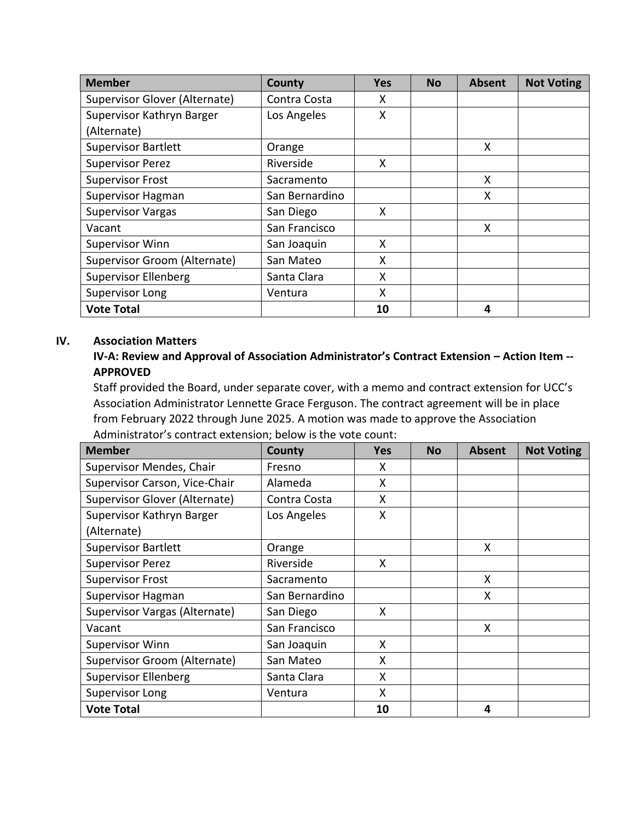| <b>Member</b>                 | County         | Yes | <b>No</b> | <b>Absent</b> | <b>Not Voting</b> |
|-------------------------------|----------------|-----|-----------|---------------|-------------------|
| Supervisor Glover (Alternate) | Contra Costa   | x   |           |               |                   |
| Supervisor Kathryn Barger     | Los Angeles    | Χ   |           |               |                   |
| (Alternate)                   |                |     |           |               |                   |
| <b>Supervisor Bartlett</b>    | Orange         |     |           | X             |                   |
| <b>Supervisor Perez</b>       | Riverside      | X   |           |               |                   |
| <b>Supervisor Frost</b>       | Sacramento     |     |           | X             |                   |
| Supervisor Hagman             | San Bernardino |     |           | X             |                   |
| <b>Supervisor Vargas</b>      | San Diego      | X   |           |               |                   |
| Vacant                        | San Francisco  |     |           | X             |                   |
| <b>Supervisor Winn</b>        | San Joaquin    | X   |           |               |                   |
| Supervisor Groom (Alternate)  | San Mateo      | X   |           |               |                   |
| <b>Supervisor Ellenberg</b>   | Santa Clara    | X   |           |               |                   |
| Supervisor Long               | Ventura        | X   |           |               |                   |
| <b>Vote Total</b>             |                | 10  |           | 4             |                   |

#### **IV. Association Matters**

## **IV-A: Review and Approval of Association Administrator's Contract Extension – Action Item -- APPROVED**

Staff provided the Board, under separate cover, with a memo and contract extension for UCC's Association Administrator Lennette Grace Ferguson. The contract agreement will be in place from February 2022 through June 2025. A motion was made to approve the Association Administrator's contract extension; below is the vote count:

| <b>Member</b>                 | County         | <b>Yes</b> | <b>No</b> | <b>Absent</b> | <b>Not Voting</b> |
|-------------------------------|----------------|------------|-----------|---------------|-------------------|
| Supervisor Mendes, Chair      | Fresno         | X          |           |               |                   |
| Supervisor Carson, Vice-Chair | Alameda        | X          |           |               |                   |
| Supervisor Glover (Alternate) | Contra Costa   | X          |           |               |                   |
| Supervisor Kathryn Barger     | Los Angeles    | X          |           |               |                   |
| (Alternate)                   |                |            |           |               |                   |
| <b>Supervisor Bartlett</b>    | Orange         |            |           | X             |                   |
| <b>Supervisor Perez</b>       | Riverside      | X          |           |               |                   |
| <b>Supervisor Frost</b>       | Sacramento     |            |           | X             |                   |
| <b>Supervisor Hagman</b>      | San Bernardino |            |           | X             |                   |
| Supervisor Vargas (Alternate) | San Diego      | X          |           |               |                   |
| Vacant                        | San Francisco  |            |           | X             |                   |
| <b>Supervisor Winn</b>        | San Joaquin    | X          |           |               |                   |
| Supervisor Groom (Alternate)  | San Mateo      | X          |           |               |                   |
| <b>Supervisor Ellenberg</b>   | Santa Clara    | X          |           |               |                   |
| Supervisor Long               | Ventura        | X          |           |               |                   |
| <b>Vote Total</b>             |                | 10         |           | 4             |                   |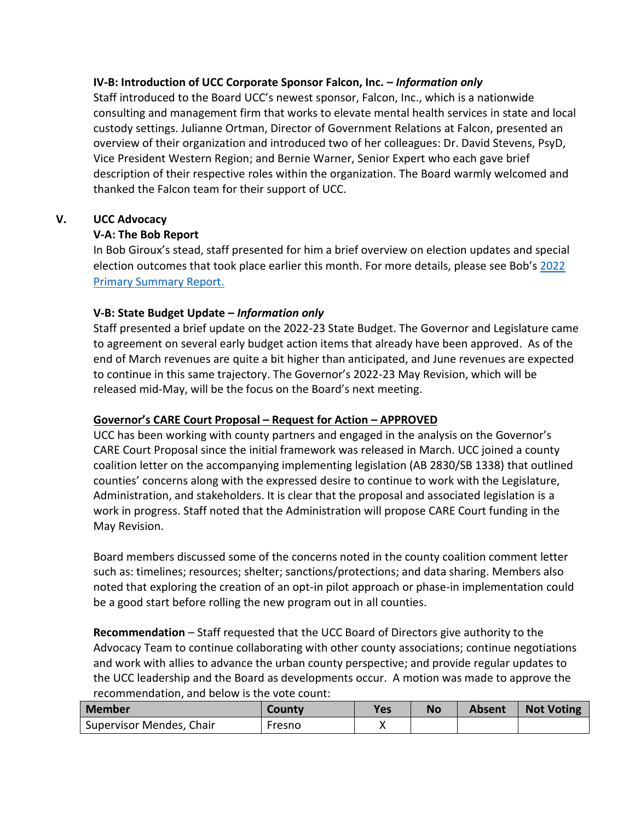### **IV-B: Introduction of UCC Corporate Sponsor Falcon, Inc. –** *Information only*

Staff introduced to the Board UCC's newest sponsor, Falcon, Inc., which is a nationwide consulting and management firm that works to elevate mental health services in state and local custody settings. Julianne Ortman, Director of Government Relations at Falcon, presented an overview of their organization and introduced two of her colleagues: Dr. David Stevens, PsyD, Vice President Western Region; and Bernie Warner, Senior Expert who each gave brief description of their respective roles within the organization. The Board warmly welcomed and thanked the Falcon team for their support of UCC.

### **V. UCC Advocacy**

## **V-A: The Bob Report**

In Bob Giroux's stead, staff presented for him a brief overview on election updates and special election outcomes that took place earlier this month. For more details, please see Bob's [2022](https://acrobat.adobe.com/link/review?uri=urn:aaid:scds:US:13824b60-de30-3b9f-998b-26c00f612a4e)  [Primary Summary Report.](https://acrobat.adobe.com/link/review?uri=urn:aaid:scds:US:13824b60-de30-3b9f-998b-26c00f612a4e)

### **V-B: State Budget Update –** *Information only*

Staff presented a brief update on the 2022-23 State Budget. The Governor and Legislature came to agreement on several early budget action items that already have been approved. As of the end of March revenues are quite a bit higher than anticipated, and June revenues are expected to continue in this same trajectory. The Governor's 2022-23 May Revision, which will be released mid-May, will be the focus on the Board's next meeting.

## **Governor's CARE Court Proposal – Request for Action – APPROVED**

UCC has been working with county partners and engaged in the analysis on the Governor's CARE Court Proposal since the initial framework was released in March. UCC joined a county coalition letter on the accompanying implementing legislation (AB 2830/SB 1338) that outlined counties' concerns along with the expressed desire to continue to work with the Legislature, Administration, and stakeholders. It is clear that the proposal and associated legislation is a work in progress. Staff noted that the Administration will propose CARE Court funding in the May Revision.

Board members discussed some of the concerns noted in the county coalition comment letter such as: timelines; resources; shelter; sanctions/protections; and data sharing. Members also noted that exploring the creation of an opt-in pilot approach or phase-in implementation could be a good start before rolling the new program out in all counties.

**Recommendation** – Staff requested that the UCC Board of Directors give authority to the Advocacy Team to continue collaborating with other county associations; continue negotiations and work with allies to advance the urban county perspective; and provide regular updates to the UCC leadership and the Board as developments occur. A motion was made to approve the recommendation, and below is the vote count:

| Member                   | <b>County</b> | <b>Yes</b> | <b>No</b> | Absent | <b>Not Voting</b> |
|--------------------------|---------------|------------|-----------|--------|-------------------|
| Supervisor Mendes, Chair | Fresno        |            |           |        |                   |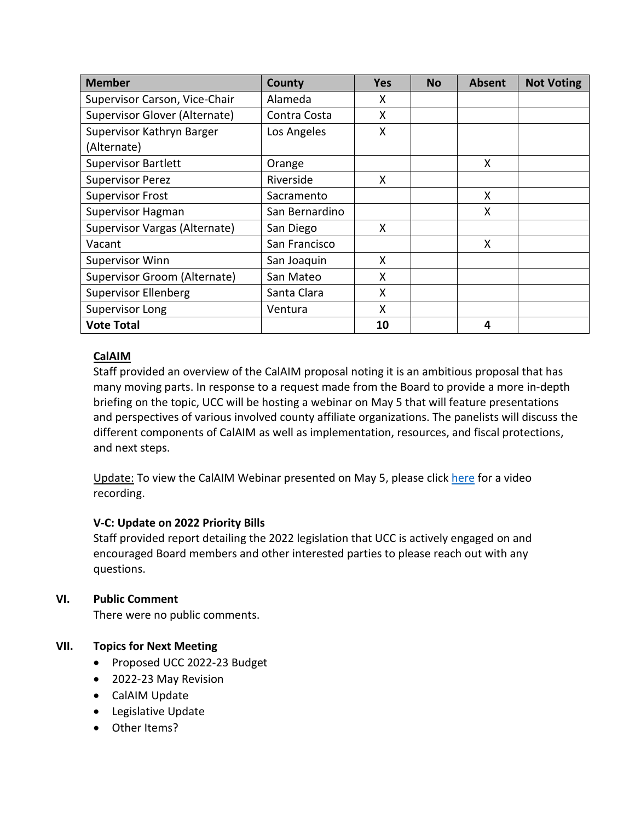| <b>Member</b>                 | County         | <b>Yes</b> | <b>No</b> | <b>Absent</b> | <b>Not Voting</b> |
|-------------------------------|----------------|------------|-----------|---------------|-------------------|
| Supervisor Carson, Vice-Chair | Alameda        | X          |           |               |                   |
| Supervisor Glover (Alternate) | Contra Costa   | X          |           |               |                   |
| Supervisor Kathryn Barger     | Los Angeles    | Χ          |           |               |                   |
| (Alternate)                   |                |            |           |               |                   |
| <b>Supervisor Bartlett</b>    | Orange         |            |           | X             |                   |
| <b>Supervisor Perez</b>       | Riverside      | X          |           |               |                   |
| <b>Supervisor Frost</b>       | Sacramento     |            |           | X             |                   |
| Supervisor Hagman             | San Bernardino |            |           | X             |                   |
| Supervisor Vargas (Alternate) | San Diego      | X          |           |               |                   |
| Vacant                        | San Francisco  |            |           | X             |                   |
| Supervisor Winn               | San Joaquin    | X          |           |               |                   |
| Supervisor Groom (Alternate)  | San Mateo      | X          |           |               |                   |
| <b>Supervisor Ellenberg</b>   | Santa Clara    | X          |           |               |                   |
| Supervisor Long               | Ventura        | X          |           |               |                   |
| <b>Vote Total</b>             |                | 10         |           | 4             |                   |

## **CalAIM**

Staff provided an overview of the CalAIM proposal noting it is an ambitious proposal that has many moving parts. In response to a request made from the Board to provide a more in-depth briefing on the topic, UCC will be hosting a webinar on May 5 that will feature presentations and perspectives of various involved county affiliate organizations. The panelists will discuss the different components of CalAIM as well as implementation, resources, and fiscal protections, and next steps.

Update: To view the CalAIM Webinar presented on May 5, please click [here](https://us02web.zoom.us/rec/share/vV5XlcuxCmKInbQGDKqyHb_WNPj2fLSB1ZwH3ENzqQKcjaNzPhqSiqLQ-bv47to_.SaTSSALTofgU-ifU?startTime=1651766228000) for a video recording.

## **V-C: Update on 2022 Priority Bills**

Staff provided report detailing the 2022 legislation that UCC is actively engaged on and encouraged Board members and other interested parties to please reach out with any questions.

## **VI. Public Comment**

There were no public comments.

## **VII. Topics for Next Meeting**

- Proposed UCC 2022-23 Budget
- 2022-23 May Revision
- CalAIM Update
- Legislative Update
- Other Items?